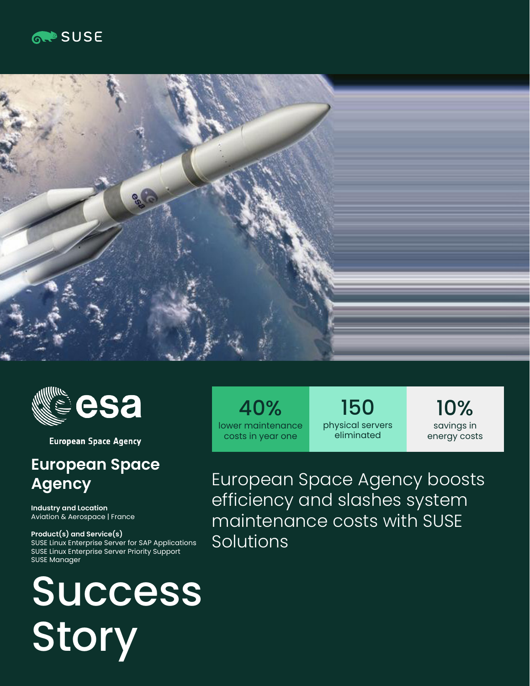





**European Space Agency** 

## **European Space Agency**

**Industry and Location**  Aviation & Aerospace | France

**Product(s) and Service(s)** SUSE Linux Enterprise Server for SAP Applications SUSE Linux Enterprise Server Priority Support SUSE Manager

# Success Story

40% lower maintenance costs in year one

150 physical servers eliminated

10% savings in energy costs

European Space Agency boosts efficiency and slashes system maintenance costs with SUSE Solutions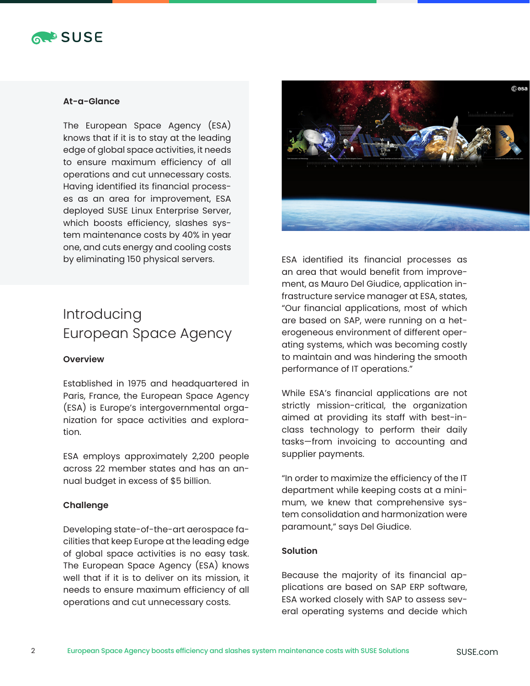

#### **At-a-Glance**

The European Space Agency (ESA) knows that if it is to stay at the leading edge of global space activities, it needs to ensure maximum efficiency of all operations and cut unnecessary costs. Having identified its financial processes as an area for improvement, ESA deployed SUSE Linux Enterprise Server, which boosts efficiency, slashes system maintenance costs by 40% in year one, and cuts energy and cooling costs by eliminating 150 physical servers.

### Introducing European Space Agency

#### **Overview**

Established in 1975 and headquartered in Paris, France, the European Space Agency (ESA) is Europe's intergovernmental organization for space activities and exploration.

ESA employs approximately 2,200 people across 22 member states and has an annual budget in excess of \$5 billion.

#### **Challenge**

Developing state-of-the-art aerospace facilities that keep Europe at the leading edge of global space activities is no easy task. The European Space Agency (ESA) knows well that if it is to deliver on its mission, it needs to ensure maximum efficiency of all operations and cut unnecessary costs.



ESA identified its financial processes as an area that would benefit from improvement, as Mauro Del Giudice, application infrastructure service manager at ESA, states, "Our financial applications, most of which are based on SAP, were running on a heterogeneous environment of different operating systems, which was becoming costly to maintain and was hindering the smooth performance of IT operations."

While ESA's financial applications are not strictly mission-critical, the organization aimed at providing its staff with best-inclass technology to perform their daily tasks—from invoicing to accounting and supplier payments.

"In order to maximize the efficiency of the IT department while keeping costs at a minimum, we knew that comprehensive system consolidation and harmonization were paramount," says Del Giudice.

#### **Solution**

Because the majority of its financial applications are based on SAP ERP software, ESA worked closely with SAP to assess several operating systems and decide which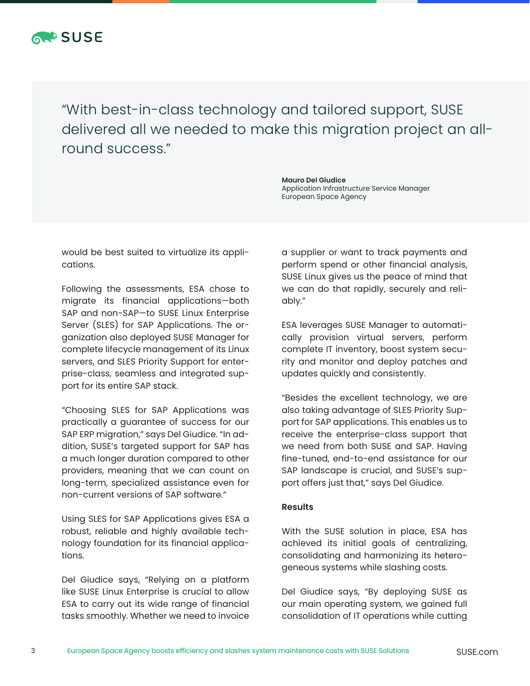

"With best-in-class technology and tailored support, SUSE delivered all we needed to make this migration project an allround success."

> **Mauro Del Giudice**  Application Infrastructure Service Manager European Space Agency

would be best suited to virtualize its applications.

Following the assessments, ESA chose to migrate its financial applications—both SAP and non-SAP—to SUSE Linux Enterprise Server (SLES) for SAP Applications. The organization also deployed SUSE Manager for complete lifecycle management of its Linux servers, and SLES Priority Support for enterprise-class, seamless and integrated support for its entire SAP stack.

"Choosing SLES for SAP Applications was practically a guarantee of success for our SAP ERP migration," says Del Giudice. "In addition, SUSE's targeted support for SAP has a much longer duration compared to other providers, meaning that we can count on long-term, specialized assistance even for non-current versions of SAP software."

Using SLES for SAP Applications gives ESA a robust, reliable and highly available technology foundation for its financial applications.

Del Giudice says, "Relying on a platform like SUSE Linux Enterprise is crucial to allow ESA to carry out its wide range of financial tasks smoothly. Whether we need to invoice

a supplier or want to track payments and perform spend or other financial analysis, SUSE Linux gives us the peace of mind that we can do that rapidly, securely and reliably."

ESA leverages SUSE Manager to automatically provision virtual servers, perform complete IT inventory, boost system security and monitor and deploy patches and updates quickly and consistently.

"Besides the excellent technology, we are also taking advantage of SLES Priority Support for SAP applications. This enables us to receive the enterprise-class support that we need from both SUSE and SAP. Having fine-tuned, end-to-end assistance for our SAP landscape is crucial, and SUSE's support offers just that," says Del Giudice.

#### **Results**

With the SUSE solution in place, ESA has achieved its initial goals of centralizing, consolidating and harmonizing its heterogeneous systems while slashing costs.

Del Giudice says, "By deploying SUSE as our main operating system, we gained full consolidation of IT operations while cutting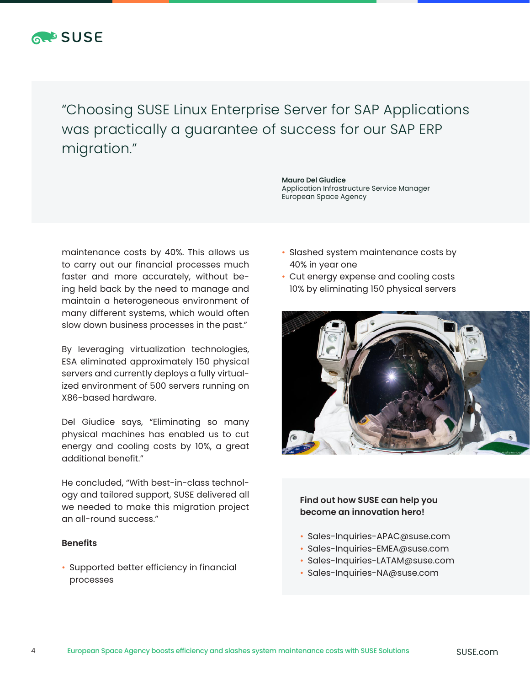

"Choosing SUSE Linux Enterprise Server for SAP Applications was practically a guarantee of success for our SAP ERP migration."

maintenance costs by 40%. This allows us to carry out our financial processes much faster and more accurately, without being held back by the need to manage and maintain a heterogeneous environment of many different systems, which would often slow down business processes in the past."

By leveraging virtualization technologies, ESA eliminated approximately 150 physical servers and currently deploys a fully virtualized environment of 500 servers running on X86-based hardware.

Del Giudice says, "Eliminating so many physical machines has enabled us to cut energy and cooling costs by 10%, a great additional benefit."

He concluded, "With best-in-class technology and tailored support, SUSE delivered all we needed to make this migration project an all-round success."

#### **Benefits**

• Supported better efficiency in financial processes

**Mauro Del Giudice**  Application Infrastructure Service Manager European Space Agency

- Slashed system maintenance costs by 40% in year one
- Cut energy expense and cooling costs 10% by eliminating 150 physical servers



**Find out how SUSE can help you become an innovation hero!** 

- Sales-Inquiries-APAC@suse.com
- Sales-Inquiries-EMEA@suse.com
- Sales-Inquiries-LATAM@suse.com
- Sales-Inquiries-NA@suse.com